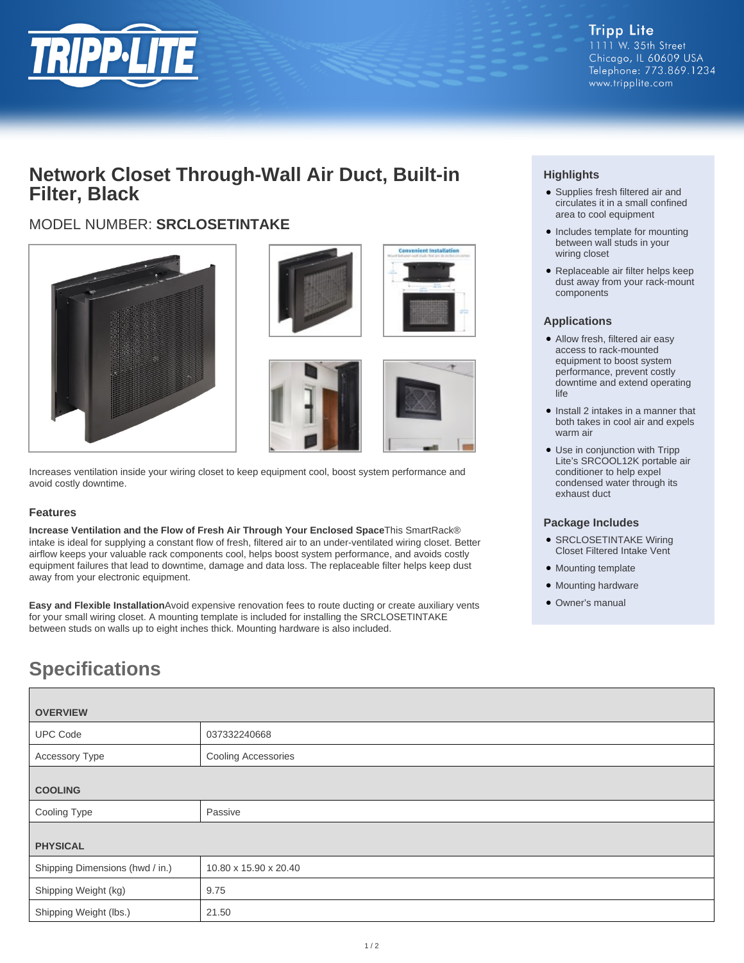

## **Network Closet Through-Wall Air Duct, Built-in Filter, Black**

## MODEL NUMBER: **SRCLOSETINTAKE**



Increases ventilation inside your wiring closet to keep equipment cool, boost system performance and avoid costly downtime.

### **Features**

**Increase Ventilation and the Flow of Fresh Air Through Your Enclosed Space**This SmartRack® intake is ideal for supplying a constant flow of fresh, filtered air to an under-ventilated wiring closet. Better airflow keeps your valuable rack components cool, helps boost system performance, and avoids costly equipment failures that lead to downtime, damage and data loss. The replaceable filter helps keep dust away from your electronic equipment.

**Easy and Flexible Installation**Avoid expensive renovation fees to route ducting or create auxiliary vents for your small wiring closet. A mounting template is included for installing the SRCLOSETINTAKE between studs on walls up to eight inches thick. Mounting hardware is also included.

# **Specifications**

| <b>OVERVIEW</b>                 |                       |
|---------------------------------|-----------------------|
| <b>UPC Code</b>                 | 037332240668          |
| <b>Accessory Type</b>           | Cooling Accessories   |
| <b>COOLING</b>                  |                       |
| Cooling Type                    | Passive               |
| <b>PHYSICAL</b>                 |                       |
| Shipping Dimensions (hwd / in.) | 10.80 x 15.90 x 20.40 |
| Shipping Weight (kg)            | 9.75                  |
| Shipping Weight (lbs.)          | 21.50                 |

### **Highlights**

- Supplies fresh filtered air and circulates it in a small confined area to cool equipment
- Includes template for mounting between wall studs in your wiring closet
- Replaceable air filter helps keep dust away from your rack-mount components

### **Applications**

- Allow fresh, filtered air easy access to rack-mounted equipment to boost system performance, prevent costly downtime and extend operating life
- Install 2 intakes in a manner that both takes in cool air and expels warm air
- Use in conjunction with Tripp Lite's SRCOOL12K portable air conditioner to help expel condensed water through its exhaust duct

### **Package Includes**

- SRCLOSETINTAKE Wiring Closet Filtered Intake Vent
- Mounting template
- Mounting hardware
- Owner's manual